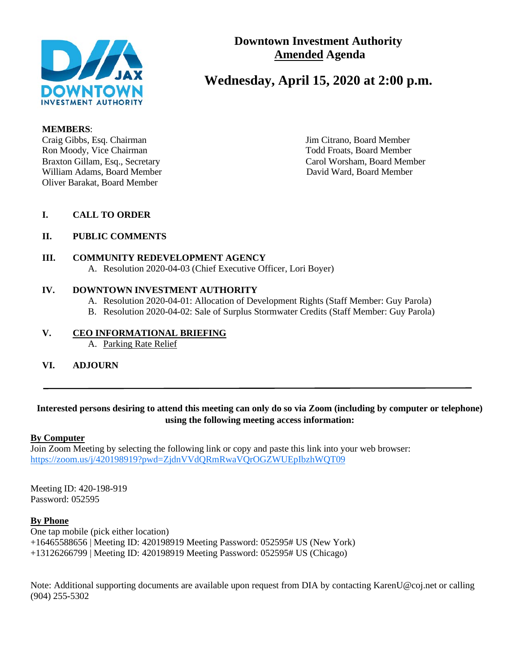

# **Downtown Investment Authority Amended Agenda**

# **Wednesday, April 15, 2020 at 2:00 p.m.**

#### **MEMBERS**:

Craig Gibbs, Esq. Chairman Jim Citrano, Board Member Ron Moody, Vice Chairman Todd Froats, Board Member William Adams, Board Member **David Ward, Board Member** David Ward, Board Member Oliver Barakat, Board Member

Braxton Gillam, Esq., Secretary Carol Worsham, Board Member

### **I. CALL TO ORDER**

### **II. PUBLIC COMMENTS**

### **III. COMMUNITY REDEVELOPMENT AGENCY**

A. Resolution 2020-04-03 (Chief Executive Officer, Lori Boyer)

#### **IV. DOWNTOWN INVESTMENT AUTHORITY**

- A. Resolution 2020-04-01: Allocation of Development Rights (Staff Member: Guy Parola)
- B. Resolution 2020-04-02: Sale of Surplus Stormwater Credits (Staff Member: Guy Parola)

### **V. CEO INFORMATIONAL BRIEFING**

A. Parking Rate Relief

**VI. ADJOURN**

### **Interested persons desiring to attend this meeting can only do so via Zoom (including by computer or telephone) using the following meeting access information:**

### **By Computer**

Join Zoom Meeting by selecting the following link or copy and paste this link into your web browser: <https://zoom.us/j/420198919?pwd=ZjdnVVdQRmRwaVQrOGZWUEpIbzhWQT09>

Meeting ID: 420-198-919 Password: 052595

### **By Phone**

One tap mobile (pick either location) +16465588656 | Meeting ID: 420198919 Meeting Password: 052595# US (New York) +13126266799 | Meeting ID: 420198919 Meeting Password: 052595# US (Chicago)

Note: Additional supporting documents are available upon request from DIA by contacting KarenU@coj.net or calling (904) 255-5302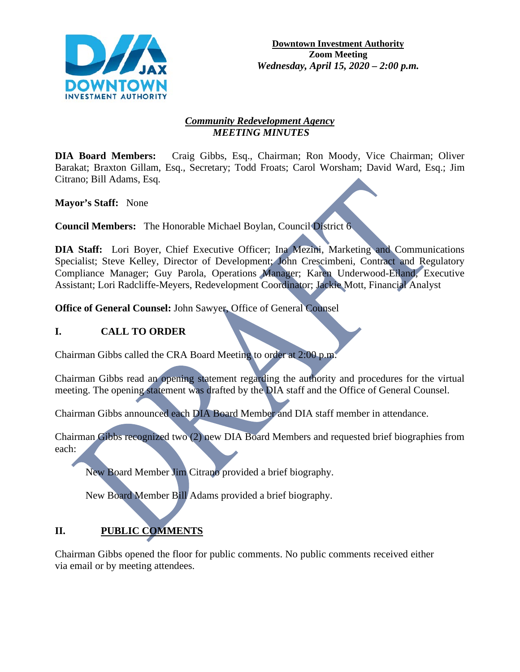

### *Community Redevelopment Agency MEETING MINUTES*

**DIA Board Members:** Craig Gibbs, Esq., Chairman; Ron Moody, Vice Chairman; Oliver Barakat; Braxton Gillam, Esq., Secretary; Todd Froats; Carol Worsham; David Ward, Esq.; Jim Citrano; Bill Adams, Esq.

**Mayor's Staff:** None

**Council Members:** The Honorable Michael Boylan, Council District 6

DIA Staff: Lori Boyer, Chief Executive Officer; Ina Mezini, Marketing and Communications Specialist; Steve Kelley, Director of Development; John Crescimbeni, Contract and Regulatory Compliance Manager; Guy Parola, Operations Manager; Karen Underwood-Eiland, Executive Assistant; Lori Radcliffe-Meyers, Redevelopment Coordinator; Jackie Mott, Financial Analyst

**Office of General Counsel:** John Sawyer, Office of General Counsel

## **I. CALL TO ORDER**

Chairman Gibbs called the CRA Board Meeting to order at 2:00 p.m.

Chairman Gibbs read an opening statement regarding the authority and procedures for the virtual meeting. The opening statement was drafted by the DIA staff and the Office of General Counsel.

Chairman Gibbs announced each DIA Board Member and DIA staff member in attendance.

Chairman Gibbs recognized two (2) new DIA Board Members and requested brief biographies from each:

New Board Member Jim Citrano provided a brief biography.

New Board Member Bill Adams provided a brief biography.

# **II. PUBLIC COMMENTS**

Chairman Gibbs opened the floor for public comments. No public comments received either via email or by meeting attendees.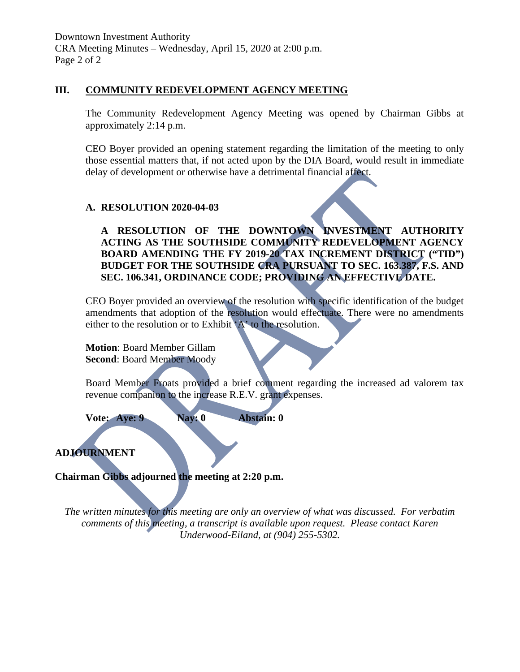### **III. COMMUNITY REDEVELOPMENT AGENCY MEETING**

The Community Redevelopment Agency Meeting was opened by Chairman Gibbs at approximately 2:14 p.m.

CEO Boyer provided an opening statement regarding the limitation of the meeting to only those essential matters that, if not acted upon by the DIA Board, would result in immediate delay of development or otherwise have a detrimental financial affect.

### **A. RESOLUTION 2020-04-03**

**A RESOLUTION OF THE DOWNTOWN INVESTMENT AUTHORITY ACTING AS THE SOUTHSIDE COMMUNITY REDEVELOPMENT AGENCY BOARD AMENDING THE FY 2019-20 TAX INCREMENT DISTRICT ("TID") BUDGET FOR THE SOUTHSIDE CRA PURSUANT TO SEC. 163.387, F.S. AND SEC. 106.341, ORDINANCE CODE; PROVIDING AN EFFECTIVE DATE.**

CEO Boyer provided an overview of the resolution with specific identification of the budget amendments that adoption of the resolution would effectuate. There were no amendments either to the resolution or to Exhibit 'A' to the resolution.

**Motion**: Board Member Gillam **Second**: Board Member Moody

Board Member Froats provided a brief comment regarding the increased ad valorem tax revenue companion to the increase R.E.V. grant expenses.

**Vote: Aye: 9 Nay: 0 Abstain: 0**

**ADJOURNMENT**

**Chairman Gibbs adjourned the meeting at 2:20 p.m.**

*The written minutes for this meeting are only an overview of what was discussed. For verbatim comments of this meeting, a transcript is available upon request. Please contact Karen Underwood-Eiland, at (904) 255-5302.*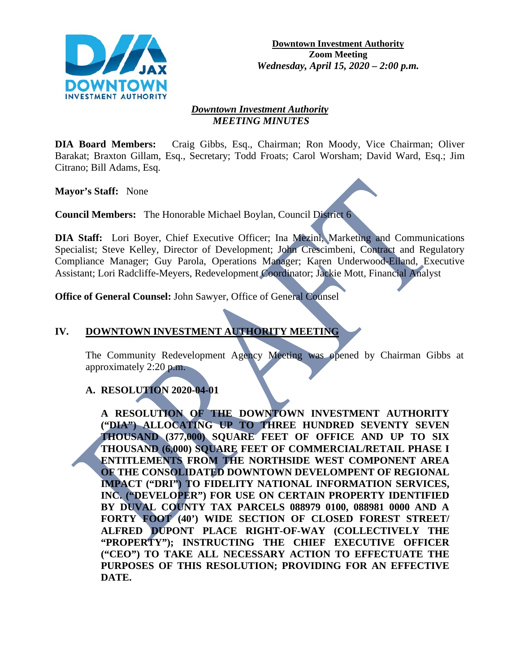

#### *Downtown Investment Authority MEETING MINUTES*

**DIA Board Members:** Craig Gibbs, Esq., Chairman; Ron Moody, Vice Chairman; Oliver Barakat; Braxton Gillam, Esq., Secretary; Todd Froats; Carol Worsham; David Ward, Esq.; Jim Citrano; Bill Adams, Esq.

**Mayor's Staff:** None

**Council Members:** The Honorable Michael Boylan, Council District 6

**DIA Staff:** Lori Boyer, Chief Executive Officer; Ina Mezini, Marketing and Communications Specialist; Steve Kelley, Director of Development; John Crescimbeni, Contract and Regulatory Compliance Manager; Guy Parola, Operations Manager; Karen Underwood-Eiland, Executive Assistant; Lori Radcliffe-Meyers, Redevelopment Coordinator; Jackie Mott, Financial Analyst

**Office of General Counsel:** John Sawyer, Office of General Counsel

## **IV. DOWNTOWN INVESTMENT AUTHORITY MEETING**

The Community Redevelopment Agency Meeting was opened by Chairman Gibbs at approximately 2:20 p.m.

## **A. RESOLUTION 2020-04-01**

**A RESOLUTION OF THE DOWNTOWN INVESTMENT AUTHORITY ("DIA") ALLOCATING UP TO THREE HUNDRED SEVENTY SEVEN THOUSAND (377,000) SQUARE FEET OF OFFICE AND UP TO SIX THOUSAND (6,000) SQUARE FEET OF COMMERCIAL/RETAIL PHASE I ENTITLEMENTS FROM THE NORTHSIDE WEST COMPONENT AREA OF THE CONSOLIDATED DOWNTOWN DEVELOMPENT OF REGIONAL IMPACT ("DRI") TO FIDELITY NATIONAL INFORMATION SERVICES, INC. ("DEVELOPER") FOR USE ON CERTAIN PROPERTY IDENTIFIED BY DUVAL COUNTY TAX PARCELS 088979 0100, 088981 0000 AND A FORTY FOOT (40') WIDE SECTION OF CLOSED FOREST STREET/ ALFRED DUPONT PLACE RIGHT-OF-WAY (COLLECTIVELY THE "PROPERTY"); INSTRUCTING THE CHIEF EXECUTIVE OFFICER ("CEO") TO TAKE ALL NECESSARY ACTION TO EFFECTUATE THE PURPOSES OF THIS RESOLUTION; PROVIDING FOR AN EFFECTIVE DATE.**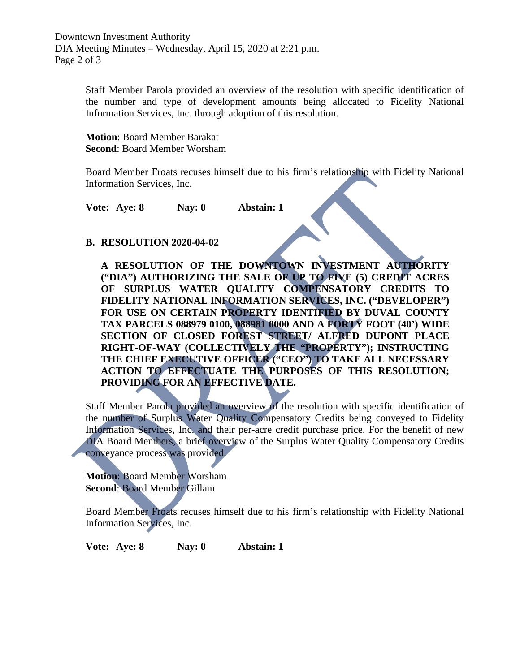Staff Member Parola provided an overview of the resolution with specific identification of the number and type of development amounts being allocated to Fidelity National Information Services, Inc. through adoption of this resolution.

**Motion**: Board Member Barakat **Second**: Board Member Worsham

Board Member Froats recuses himself due to his firm's relationship with Fidelity National Information Services, Inc.

**Vote: Aye: 8 Nay: 0 Abstain: 1**

### **B. RESOLUTION 2020-04-02**

**A RESOLUTION OF THE DOWNTOWN INVESTMENT AUTHORITY ("DIA") AUTHORIZING THE SALE OF UP TO FIVE (5) CREDIT ACRES OF SURPLUS WATER QUALITY COMPENSATORY CREDITS TO FIDELITY NATIONAL INFORMATION SERVICES, INC. ("DEVELOPER") FOR USE ON CERTAIN PROPERTY IDENTIFIED BY DUVAL COUNTY TAX PARCELS 088979 0100, 088981 0000 AND A FORTY FOOT (40') WIDE SECTION OF CLOSED FOREST STREET/ ALFRED DUPONT PLACE RIGHT-OF-WAY (COLLECTIVELY THE "PROPERTY"); INSTRUCTING THE CHIEF EXECUTIVE OFFICER ("CEO") TO TAKE ALL NECESSARY ACTION TO EFFECTUATE THE PURPOSES OF THIS RESOLUTION; PROVIDING FOR AN EFFECTIVE DATE.**

Staff Member Parola provided an overview of the resolution with specific identification of the number of Surplus Water Quality Compensatory Credits being conveyed to Fidelity Information Services, Inc. and their per-acre credit purchase price. For the benefit of new DIA Board Members, a brief overview of the Surplus Water Quality Compensatory Credits conveyance process was provided.

**Motion**: Board Member Worsham **Second**: Board Member Gillam

Board Member Froats recuses himself due to his firm's relationship with Fidelity National Information Services, Inc.

**Vote: Aye: 8 Nay: 0 Abstain: 1**